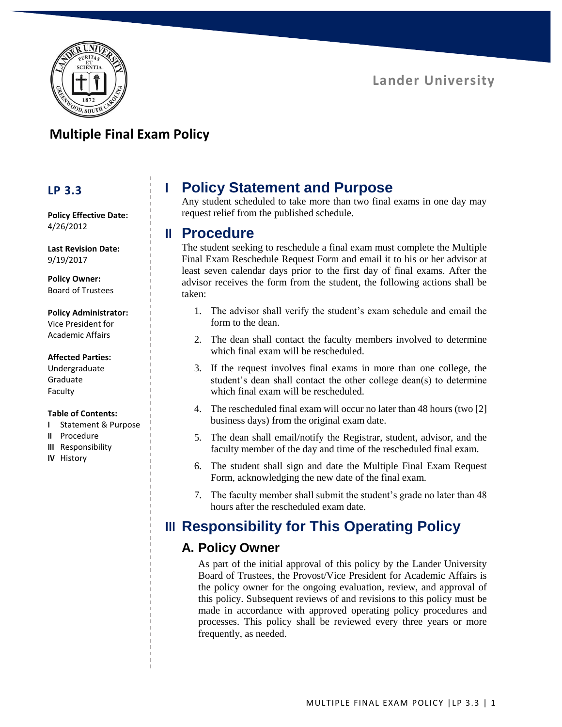

## **Multiple Final Exam Policy**

### **LP 3.3**

**Policy Effective Date:** 4/26/2012

**Last Revision Date:** 9/19/2017

**Policy Owner:** Board of Trustees

#### **Policy Administrator:**

Vice President for Academic Affairs

#### **Affected Parties:**

Undergraduate Graduate Faculty

#### **Table of Contents:**

- **I** Statement & Purpose
- **II** Procedure
- **III** Responsibility
- **IV** History

# **I Policy Statement and Purpose**

Any student scheduled to take more than two final exams in one day may request relief from the published schedule.

### **II Procedure**

The student seeking to reschedule a final exam must complete the Multiple Final Exam Reschedule Request Form and email it to his or her advisor at least seven calendar days prior to the first day of final exams. After the advisor receives the form from the student, the following actions shall be taken:

- 1. The advisor shall verify the student's exam schedule and email the form to the dean.
- 2. The dean shall contact the faculty members involved to determine which final exam will be rescheduled.
- 3. If the request involves final exams in more than one college, the student's dean shall contact the other college dean(s) to determine which final exam will be rescheduled.
- 4. The rescheduled final exam will occur no later than 48 hours (two [2] business days) from the original exam date.
- 5. The dean shall email/notify the Registrar, student, advisor, and the faculty member of the day and time of the rescheduled final exam.
- 6. The student shall sign and date the Multiple Final Exam Request Form, acknowledging the new date of the final exam.
- 7. The faculty member shall submit the student's grade no later than 48 hours after the rescheduled exam date.

## **III Responsibility for This Operating Policy**

### **A. Policy Owner**

As part of the initial approval of this policy by the Lander University Board of Trustees, the Provost/Vice President for Academic Affairs is the policy owner for the ongoing evaluation, review, and approval of this policy. Subsequent reviews of and revisions to this policy must be made in accordance with approved operating policy procedures and processes. This policy shall be reviewed every three years or more frequently, as needed.